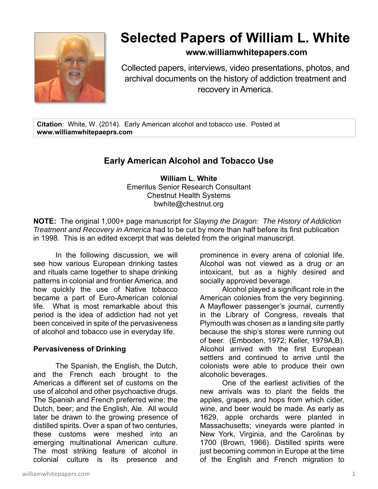

# **Selected Papers of William L. White**

### **www.williamwhitepapers.com**

Collected papers, interviews, video presentations, photos, and archival documents on the history of addiction treatment and recovery in America.

**Citation**: White, W. (2014). Early American alcohol and tobacco use. Posted at **www.williamwhitepaeprs.com** 

## **Early American Alcohol and Tobacco Use**

**William L. White**  Emeritus Senior Research Consultant Chestnut Health Systems bwhite@chestnut.org

**NOTE:** The original 1,000+ page manuscript for *Slaying the Dragon: The History of Addiction Treatment and Recovery in America* had to be cut by more than half before its first publication in 1998. This is an edited excerpt that was deleted from the original manuscript.

In the following discussion, we will see how various European drinking tastes and rituals came together to shape drinking patterns in colonial and frontier America, and how quickly the use of Native tobacco became a part of Euro-American colonial life. What is most remarkable about this period is the idea of addiction had not yet been conceived in spite of the pervasiveness of alcohol and tobacco use in everyday life.

#### **Pervasiveness of Drinking**

The Spanish, the English, the Dutch, and the French each brought to the Americas a different set of customs on the use of alcohol and other psychoactive drugs. The Spanish and French preferred wine; the Dutch, beer; and the English, Ale. All would later be drawn to the growing presence of distilled spirits. Over a span of two centuries, these customs were meshed into an emerging multinational American culture. The most striking feature of alcohol in colonial culture is its presence and

prominence in every arena of colonial life. Alcohol was not viewed as a drug or an intoxicant, but as a highly desired and socially approved beverage.

Alcohol played a significant role in the American colonies from the very beginning. A Mayflower passenger's journal, currently in the Library of Congress, reveals that Plymouth was chosen as a landing site partly because the ship's stores were running out of beer. (Emboden, 1972; Keller, 1979A,B). Alcohol arrived with the first European settlers and continued to arrive until the colonists were able to produce their own alcoholic beverages.

One of the earliest activities of the new arrivals was to plant the fields the apples, grapes, and hops from which cider, wine, and beer would be made. As early as 1629, apple orchards were planted in Massachusetts; vineyards were planted in New York, Virginia, and the Carolinas by 1700 (Brown, 1966). Distilled spirits were just becoming common in Europe at the time of the English and French migration to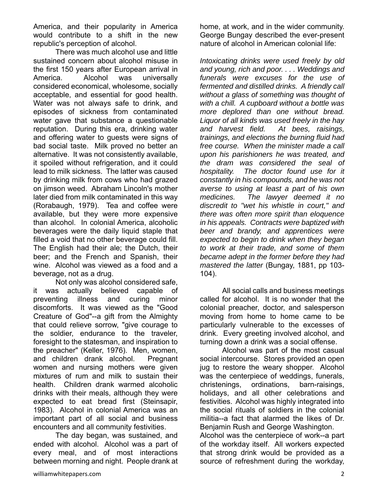America, and their popularity in America would contribute to a shift in the new republic's perception of alcohol.

There was much alcohol use and little sustained concern about alcohol misuse in the first 150 years after European arrival in America. Alcohol was universally considered economical, wholesome, socially acceptable, and essential for good health. Water was not always safe to drink, and episodes of sickness from contaminated water gave that substance a questionable reputation. During this era, drinking water and offering water to guests were signs of bad social taste. Milk proved no better an alternative. It was not consistently available, it spoiled without refrigeration, and it could lead to milk sickness. The latter was caused by drinking milk from cows who had grazed on jimson weed. Abraham Lincoln's mother later died from milk contaminated in this way (Rorabaugh, 1979). Tea and coffee were available, but they were more expensive than alcohol. In colonial America, alcoholic beverages were the daily liquid staple that filled a void that no other beverage could fill. The English had their ale; the Dutch, their beer; and the French and Spanish, their wine. Alcohol was viewed as a food and a beverage, not as a drug.

Not only was alcohol considered safe, it was actually believed capable of preventing illness and curing minor discomforts. It was viewed as the "Good Creature of God"--a gift from the Almighty that could relieve sorrow, "give courage to the soldier, endurance to the traveler, foresight to the statesman, and inspiration to the preacher" (Keller, 1976). Men, women, and children drank alcohol. Pregnant women and nursing mothers were given mixtures of rum and milk to sustain their health. Children drank warmed alcoholic drinks with their meals, although they were expected to eat bread first (Steinsapir, 1983). Alcohol in colonial America was an important part of all social and business encounters and all community festivities.

The day began, was sustained, and ended with alcohol. Alcohol was a part of every meal, and of most interactions between morning and night. People drank at home, at work, and in the wider community. George Bungay described the ever-present nature of alcohol in American colonial life:

*Intoxicating drinks were used freely by old and young, rich and poor. . . . Weddings and funerals were excuses for the use of fermented and distilled drinks. A friendly call without a glass of something was thought of with a chill. A cupboard without a bottle was more deplored than one without bread. Liquor of all kinds was used freely in the hay and harvest field. At bees, raisings, trainings, and elections the burning fluid had free course. When the minister made a call upon his parishioners he was treated, and the dram was considered the seal of hospitality. The doctor found use for it constantly in his compounds, and he was not averse to using at least a part of his own medicines. The lawyer deemed it no discredit to "wet his whistle in court," and there was often more spirit than eloquence in his appeals. Contracts were baptized with beer and brandy, and apprentices were expected to begin to drink when they began to work at their trade, and some of them became adept in the former before they had mastered the latter* (Bungay, 1881, pp 103- 104).

All social calls and business meetings called for alcohol. It is no wonder that the colonial preacher, doctor, and salesperson moving from home to home came to be particularly vulnerable to the excesses of drink. Every greeting involved alcohol, and turning down a drink was a social offense.

Alcohol was part of the most casual social intercourse. Stores provided an open jug to restore the weary shopper. Alcohol was the centerpiece of weddings, funerals, christenings, ordinations, barn-raisings, holidays, and all other celebrations and festivities. Alcohol was highly integrated into the social rituals of soldiers in the colonial militia--a fact that alarmed the likes of Dr. Benjamin Rush and George Washington.

Alcohol was the centerpiece of work--a part of the workday itself. All workers expected that strong drink would be provided as a source of refreshment during the workday,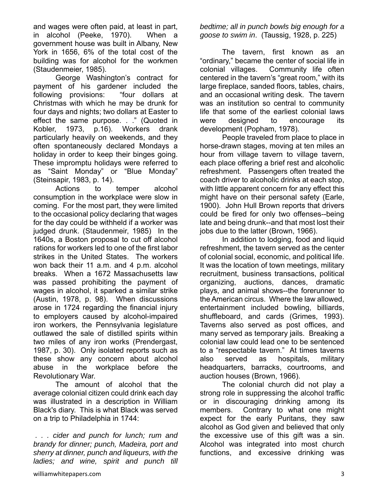and wages were often paid, at least in part, in alcohol (Peeke, 1970). When a government house was built in Albany, New York in 1656, 6% of the total cost of the building was for alcohol for the workmen (Staudenmeier, 1985).

George Washington's contract for payment of his gardener included the following provisions: "four dollars at Christmas with which he may be drunk for four days and nights; two dollars at Easter to effect the same purpose. . ." (Quoted in Kobler, 1973, p.16). Workers drank particularly heavily on weekends, and they often spontaneously declared Mondays a holiday in order to keep their binges going. These impromptu holidays were referred to as "Saint Monday" or "Blue Monday" (Steinsapir, 1983, p. 14).

 Actions to temper alcohol consumption in the workplace were slow in coming. For the most part, they were limited to the occasional policy declaring that wages for the day could be withheld if a worker was judged drunk. (Staudenmeir, 1985) In the 1640s, a Boston proposal to cut off alcohol rations for workers led to one of the first labor strikes in the United States. The workers won back their 11 a.m. and 4 p.m. alcohol breaks. When a 1672 Massachusetts law was passed prohibiting the payment of wages in alcohol, it sparked a similar strike (Austin, 1978, p. 98). When discussions arose in 1724 regarding the financial injury to employers caused by alcohol-impaired iron workers, the Pennsylvania legislature outlawed the sale of distilled spirits within two miles of any iron works (Prendergast, 1987, p. 30). Only isolated reports such as these show any concern about alcohol abuse in the workplace before the Revolutionary War.

The amount of alcohol that the average colonial citizen could drink each day was illustrated in a description in William Black's diary. This is what Black was served on a trip to Philadelphia in 1744:

*. . . cider and punch for lunch; rum and brandy for dinner; punch, Madeira, port and sherry at dinner, punch and liqueurs, with the ladies; and wine, spirit and punch till* 

*bedtime; all in punch bowls big enough for a goose to swim in*. (Taussig, 1928, p. 225)

The tavern, first known as an "ordinary," became the center of social life in colonial villages. Community life often centered in the tavern's "great room," with its large fireplace, sanded floors, tables, chairs, and an occasional writing desk. The tavern was an institution so central to community life that some of the earliest colonial laws were designed to encourage its development (Popham, 1978).

People traveled from place to place in horse-drawn stages, moving at ten miles an hour from village tavern to village tavern, each place offering a brief rest and alcoholic refreshment. Passengers often treated the coach driver to alcoholic drinks at each stop, with little apparent concern for any effect this might have on their personal safety (Earle, 1900). John Hull Brown reports that drivers could be fired for only two offenses--being late and being drunk--and that most lost their jobs due to the latter (Brown, 1966).

In addition to lodging, food and liquid refreshment, the tavern served as the center of colonial social, economic, and political life. It was the location of town meetings, military recruitment, business transactions, political organizing, auctions, dances, dramatic plays, and animal shows--the forerunner to the American circus. Where the law allowed, entertainment included bowling, billiards, shuffleboard, and cards (Grimes, 1993). Taverns also served as post offices, and many served as temporary jails. Breaking a colonial law could lead one to be sentenced to a "respectable tavern." At times taverns also served as hospitals, military headquarters, barracks, courtrooms, and auction houses (Brown, 1966).

The colonial church did not play a strong role in suppressing the alcohol traffic or in discouraging drinking among its members. Contrary to what one might expect for the early Puritans, they saw alcohol as God given and believed that only the excessive use of this gift was a sin. Alcohol was integrated into most church functions, and excessive drinking was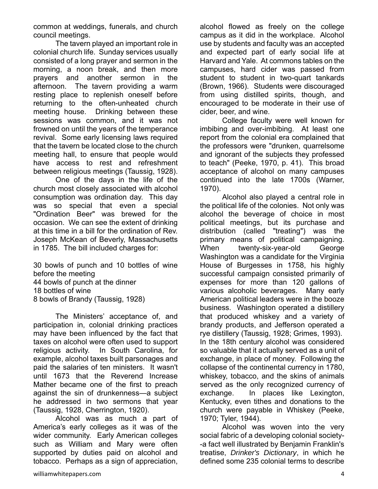common at weddings, funerals, and church council meetings.

The tavern played an important role in colonial church life. Sunday services usually consisted of a long prayer and sermon in the morning, a noon break, and then more prayers and another sermon in the afternoon. The tavern providing a warm resting place to replenish oneself before returning to the often-unheated church meeting house. Drinking between these sessions was common, and it was not frowned on until the years of the temperance revival. Some early licensing laws required that the tavern be located close to the church meeting hall, to ensure that people would have access to rest and refreshment between religious meetings (Taussig, 1928).

One of the days in the life of the church most closely associated with alcohol consumption was ordination day. This day was so special that even a special "Ordination Beer" was brewed for the occasion. We can see the extent of drinking at this time in a bill for the ordination of Rev. Joseph McKean of Beverly, Massachusetts in 1785. The bill included charges for:

30 bowls of punch and 10 bottles of wine before the meeting 44 bowls of punch at the dinner 18 bottles of wine 8 bowls of Brandy (Taussig, 1928)

The Ministers' acceptance of, and participation in, colonial drinking practices may have been influenced by the fact that taxes on alcohol were often used to support religious activity. In South Carolina, for example, alcohol taxes built parsonages and paid the salaries of ten ministers. It wasn't until 1673 that the Reverend Increase Mather became one of the first to preach against the sin of drunkenness—a subject he addressed in two sermons that year (Taussig, 1928, Cherrington, 1920).

Alcohol was as much a part of America's early colleges as it was of the wider community. Early American colleges such as William and Mary were often supported by duties paid on alcohol and tobacco. Perhaps as a sign of appreciation,

alcohol flowed as freely on the college campus as it did in the workplace. Alcohol use by students and faculty was an accepted and expected part of early social life at Harvard and Yale. At commons tables on the campuses, hard cider was passed from student to student in two-quart tankards (Brown, 1966). Students were discouraged from using distilled spirits, though, and encouraged to be moderate in their use of cider, beer, and wine.

College faculty were well known for imbibing and over-imbibing. At least one report from the colonial era complained that the professors were "drunken, quarrelsome and ignorant of the subjects they professed to teach" (Peeke, 1970, p. 41). This broad acceptance of alcohol on many campuses continued into the late 1700s (Warner, 1970).

Alcohol also played a central role in the political life of the colonies. Not only was alcohol the beverage of choice in most political meetings, but its purchase and distribution (called "treating") was the primary means of political campaigning. When twenty-six-year-old George Washington was a candidate for the Virginia House of Burgesses in 1758, his highly successful campaign consisted primarily of expenses for more than 120 gallons of various alcoholic beverages. Many early American political leaders were in the booze business. Washington operated a distillery that produced whiskey and a variety of brandy products, and Jefferson operated a rye distillery (Taussig, 1928; Grimes, 1993). In the 18th century alcohol was considered so valuable that it actually served as a unit of exchange, in place of money. Following the collapse of the continental currency in 1780, whiskey, tobacco, and the skins of animals served as the only recognized currency of exchange. In places like Lexington, Kentucky, even tithes and donations to the church were payable in Whiskey (Peeke, 1970; Tyler, 1944).

 Alcohol was woven into the very social fabric of a developing colonial society- -a fact well illustrated by Benjamin Franklin's treatise, *Drinker's Dictionary*, in which he defined some 235 colonial terms to describe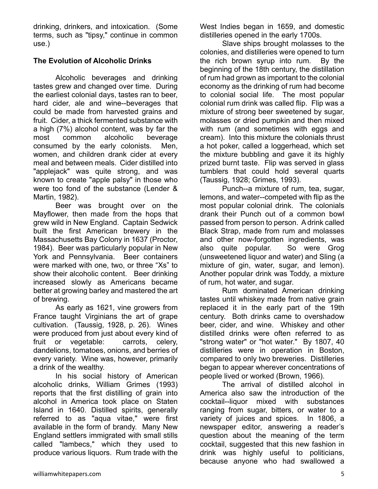drinking, drinkers, and intoxication. (Some terms, such as "tipsy," continue in common use.)

#### **The Evolution of Alcoholic Drinks**

Alcoholic beverages and drinking tastes grew and changed over time. During the earliest colonial days, tastes ran to beer, hard cider, ale and wine--beverages that could be made from harvested grains and fruit. Cider, a thick fermented substance with a high (7%) alcohol content, was by far the most common alcoholic beverage consumed by the early colonists. Men, women, and children drank cider at every meal and between meals. Cider distilled into "applejack" was quite strong, and was known to create "apple palsy" in those who were too fond of the substance (Lender & Martin, 1982).

Beer was brought over on the Mayflower, then made from the hops that grew wild in New England. Captain Sedwick built the first American brewery in the Massachusetts Bay Colony in 1637 (Proctor, 1984). Beer was particularly popular in New York and Pennsylvania. Beer containers were marked with one, two, or three "Xs" to show their alcoholic content. Beer drinking increased slowly as Americans became better at growing barley and mastered the art of brewing.

As early as 1621, vine growers from France taught Virginians the art of grape cultivation. (Taussig, 1928, p. 26). Wines were produced from just about every kind of fruit or vegetable: carrots, celery, dandelions, tomatoes, onions, and berries of every variety. Wine was, however, primarily a drink of the wealthy.

In his social history of American alcoholic drinks, William Grimes (1993) reports that the first distilling of grain into alcohol in America took place on Staten Island in 1640. Distilled spirits, generally referred to as "aqua vitae," were first available in the form of brandy. Many New England settlers immigrated with small stills called "lambecs," which they used to produce various liquors. Rum trade with the

West Indies began in 1659, and domestic distilleries opened in the early 1700s.

Slave ships brought molasses to the colonies, and distilleries were opened to turn the rich brown syrup into rum. By the beginning of the 18th century, the distillation of rum had grown as important to the colonial economy as the drinking of rum had become to colonial social life. The most popular colonial rum drink was called flip. Flip was a mixture of strong beer sweetened by sugar, molasses or dried pumpkin and then mixed with rum (and sometimes with eggs and cream). Into this mixture the colonials thrust a hot poker, called a loggerhead, which set the mixture bubbling and gave it its highly prized burnt taste. Flip was served in glass tumblers that could hold several quarts (Taussig, 1928; Grimes, 1993).

Punch--a mixture of rum, tea, sugar, lemons, and water--competed with flip as the most popular colonial drink. The colonials drank their Punch out of a common bowl passed from person to person. A drink called Black Strap, made from rum and molasses and other now-forgotten ingredients, was also quite popular. So were Grog (unsweetened liquor and water) and Sling (a mixture of gin, water, sugar, and lemon). Another popular drink was Toddy, a mixture of rum, hot water, and sugar.

Rum dominated American drinking tastes until whiskey made from native grain replaced it in the early part of the 19th century. Both drinks came to overshadow beer, cider, and wine. Whiskey and other distilled drinks were often referred to as "strong water" or "hot water." By 1807, 40 distilleries were in operation in Boston, compared to only two breweries. Distilleries began to appear wherever concentrations of people lived or worked (Brown, 1966).

The arrival of distilled alcohol in America also saw the introduction of the cocktail--liquor mixed with substances ranging from sugar, bitters, or water to a variety of juices and spices. In 1806, a newspaper editor, answering a reader's question about the meaning of the term cocktail, suggested that this new fashion in drink was highly useful to politicians, because anyone who had swallowed a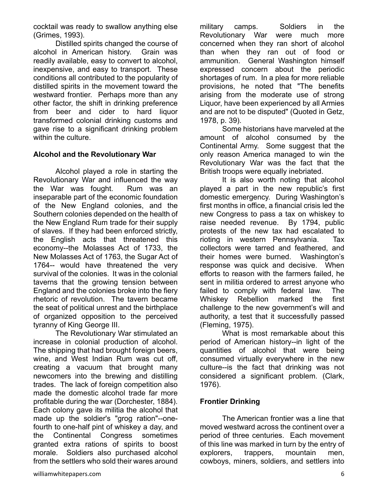cocktail was ready to swallow anything else (Grimes, 1993).

Distilled spirits changed the course of alcohol in American history. Grain was readily available, easy to convert to alcohol, inexpensive, and easy to transport. These conditions all contributed to the popularity of distilled spirits in the movement toward the westward frontier. Perhaps more than any other factor, the shift in drinking preference from beer and cider to hard liquor transformed colonial drinking customs and gave rise to a significant drinking problem within the culture.

#### **Alcohol and the Revolutionary War**

 Alcohol played a role in starting the Revolutionary War and influenced the way the War was fought. Rum was an inseparable part of the economic foundation of the New England colonies, and the Southern colonies depended on the health of the New England Rum trade for their supply of slaves. If they had been enforced strictly, the English acts that threatened this economy--the Molasses Act of 1733, the New Molasses Act of 1763, the Sugar Act of 1764-- would have threatened the very survival of the colonies. It was in the colonial taverns that the growing tension between England and the colonies broke into the fiery rhetoric of revolution. The tavern became the seat of political unrest and the birthplace of organized opposition to the perceived tyranny of King George III.

The Revolutionary War stimulated an increase in colonial production of alcohol. The shipping that had brought foreign beers, wine, and West Indian Rum was cut off, creating a vacuum that brought many newcomers into the brewing and distilling trades. The lack of foreign competition also made the domestic alcohol trade far more profitable during the war (Dorchester, 1884). Each colony gave its militia the alcohol that made up the soldier's "grog ration"--onefourth to one-half pint of whiskey a day, and the Continental Congress sometimes granted extra rations of spirits to boost morale. Soldiers also purchased alcohol from the settlers who sold their wares around military camps. Soldiers in the Revolutionary War were much more concerned when they ran short of alcohol than when they ran out of food or ammunition. General Washington himself expressed concern about the periodic shortages of rum. In a plea for more reliable provisions, he noted that "The benefits arising from the moderate use of strong Liquor, have been experienced by all Armies and are not to be disputed" (Quoted in Getz, 1978, p. 39).

Some historians have marveled at the amount of alcohol consumed by the Continental Army. Some suggest that the only reason America managed to win the Revolutionary War was the fact that the British troops were equally inebriated.

 It is also worth noting that alcohol played a part in the new republic's first domestic emergency. During Washington's first months in office, a financial crisis led the new Congress to pass a tax on whiskey to raise needed revenue. By 1794, public protests of the new tax had escalated to rioting in western Pennsylvania. Tax collectors were tarred and feathered, and their homes were burned. Washington's response was quick and decisive. When efforts to reason with the farmers failed, he sent in militia ordered to arrest anyone who failed to comply with federal law. The Whiskey Rebellion marked the first challenge to the new government's will and authority, a test that it successfully passed (Fleming, 1975).

What is most remarkable about this period of American history--in light of the quantities of alcohol that were being consumed virtually everywhere in the new culture--is the fact that drinking was not considered a significant problem. (Clark, 1976).

#### **Frontier Drinking**

The American frontier was a line that moved westward across the continent over a period of three centuries. Each movement of this line was marked in turn by the entry of explorers, trappers, mountain men, cowboys, miners, soldiers, and settlers into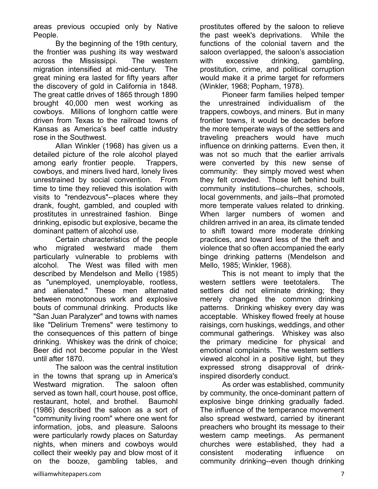areas previous occupied only by Native People.

By the beginning of the 19th century, the frontier was pushing its way westward across the Mississippi. The western migration intensified at mid-century. The great mining era lasted for fifty years after the discovery of gold in California in 1848. The great cattle drives of 1865 through 1890 brought 40,000 men west working as cowboys. Millions of longhorn cattle were driven from Texas to the railroad towns of Kansas as America's beef cattle industry rose in the Southwest.

Allan Winkler (1968) has given us a detailed picture of the role alcohol played among early frontier people. Trappers, cowboys, and miners lived hard, lonely lives unrestrained by social convention. From time to time they relieved this isolation with visits to "rendezvous"--places where they drank, fought, gambled, and coupled with prostitutes in unrestrained fashion. Binge drinking, episodic but explosive, became the dominant pattern of alcohol use.

 Certain characteristics of the people who migrated westward made them particularly vulnerable to problems with alcohol. The West was filled with men described by Mendelson and Mello (1985) as "unemployed, unemployable, rootless, and alienated." These men alternated between monotonous work and explosive bouts of communal drinking. Products like "San Juan Paralyzer" and towns with names like "Delirium Tremens" were testimony to the consequences of this pattern of binge drinking. Whiskey was the drink of choice; Beer did not become popular in the West until after 1870.

 The saloon was the central institution in the towns that sprang up in America's Westward migration. The saloon often served as town hall, court house, post office, restaurant, hotel, and brothel. Baumohl (1986) described the saloon as a sort of "community living room" where one went for information, jobs, and pleasure. Saloons were particularly rowdy places on Saturday nights, when miners and cowboys would collect their weekly pay and blow most of it on the booze, gambling tables, and prostitutes offered by the saloon to relieve the past week's deprivations. While the functions of the colonial tavern and the saloon overlapped, the saloon's association with excessive drinking, gambling, prostitution, crime, and political corruption would make it a prime target for reformers (Winkler, 1968; Popham, 1978).

Pioneer farm families helped temper the unrestrained individualism of the trappers, cowboys, and miners. But in many frontier towns, it would be decades before the more temperate ways of the settlers and traveling preachers would have much influence on drinking patterns. Even then, it was not so much that the earlier arrivals were converted by this new sense of community: they simply moved west when they felt crowded. Those left behind built community institutions--churches, schools, local governments, and jails--that promoted more temperate values related to drinking. When larger numbers of women and children arrived in an area, its climate tended to shift toward more moderate drinking practices, and toward less of the theft and violence that so often accompanied the early binge drinking patterns (Mendelson and Mello, 1985; Winkler, 1968).

This is not meant to imply that the western settlers were teetotalers. The settlers did not eliminate drinking; they merely changed the common drinking patterns. Drinking whiskey every day was acceptable. Whiskey flowed freely at house raisings, corn huskings, weddings, and other communal gatherings. Whiskey was also the primary medicine for physical and emotional complaints. The western settlers viewed alcohol in a positive light, but they expressed strong disapproval of drinkinspired disorderly conduct.

 As order was established, community by community, the once-dominant pattern of explosive binge drinking gradually faded. The influence of the temperance movement also spread westward, carried by itinerant preachers who brought its message to their western camp meetings. As permanent churches were established, they had a consistent moderating influence on community drinking--even though drinking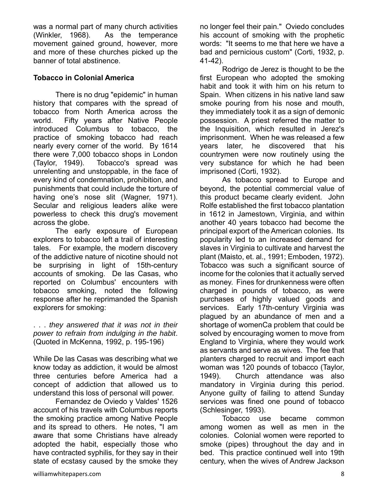was a normal part of many church activities (Winkler, 1968). As the temperance movement gained ground, however, more and more of these churches picked up the banner of total abstinence.

#### **Tobacco in Colonial America**

There is no drug "epidemic" in human history that compares with the spread of tobacco from North America across the world. Fifty years after Native People introduced Columbus to tobacco, the practice of smoking tobacco had reach nearly every corner of the world. By 1614 there were 7,000 tobacco shops in London (Taylor, 1949). Tobacco's spread was unrelenting and unstoppable, in the face of every kind of condemnation, prohibition, and punishments that could include the torture of having one's nose slit (Wagner, 1971). Secular and religious leaders alike were powerless to check this drug's movement across the globe.

The early exposure of European explorers to tobacco left a trail of interesting tales. For example, the modern discovery of the addictive nature of nicotine should not be surprising in light of 15th-century accounts of smoking. De las Casas, who reported on Columbus' encounters with tobacco smoking, noted the following response after he reprimanded the Spanish explorers for smoking:

. . . *they answered that it was not in their power to refrain from indulging in the habit*. (Quoted in McKenna, 1992, p. 195-196)

While De las Casas was describing what we know today as addiction, it would be almost three centuries before America had a concept of addiction that allowed us to understand this loss of personal will power.

 Fernandez de Oviedo y Valdes' 1526 account of his travels with Columbus reports the smoking practice among Native People and its spread to others. He notes, "I am aware that some Christians have already adopted the habit, especially those who have contracted syphilis, for they say in their state of ecstasy caused by the smoke they no longer feel their pain." Oviedo concludes his account of smoking with the prophetic words: "It seems to me that here we have a bad and pernicious custom" (Corti, 1932, p. 41-42).

Rodrigo de Jerez is thought to be the first European who adopted the smoking habit and took it with him on his return to Spain. When citizens in his native land saw smoke pouring from his nose and mouth, they immediately took it as a sign of demonic possession. A priest referred the matter to the Inquisition, which resulted in Jerez's imprisonment. When he was released a few years later, he discovered that his countrymen were now routinely using the very substance for which he had been imprisoned (Corti, 1932).

As tobacco spread to Europe and beyond, the potential commercial value of this product became clearly evident. John Rolfe established the first tobacco plantation in 1612 in Jamestown, Virginia, and within another 40 years tobacco had become the principal export of the American colonies. Its popularity led to an increased demand for slaves in Virginia to cultivate and harvest the plant (Maisto, et. al., 1991; Emboden, 1972). Tobacco was such a significant source of income for the colonies that it actually served as money. Fines for drunkenness were often charged in pounds of tobacco, as were purchases of highly valued goods and services. Early 17th-century Virginia was plagued by an abundance of men and a shortage of womenCa problem that could be solved by encouraging women to move from England to Virginia, where they would work as servants and serve as wives. The fee that planters charged to recruit and import each woman was 120 pounds of tobacco (Taylor, 1949). Church attendance was also mandatory in Virginia during this period. Anyone guilty of failing to attend Sunday services was fined one pound of tobacco (Schlesinger, 1993).

Tobacco use became common among women as well as men in the colonies. Colonial women were reported to smoke (pipes) throughout the day and in bed. This practice continued well into 19th century, when the wives of Andrew Jackson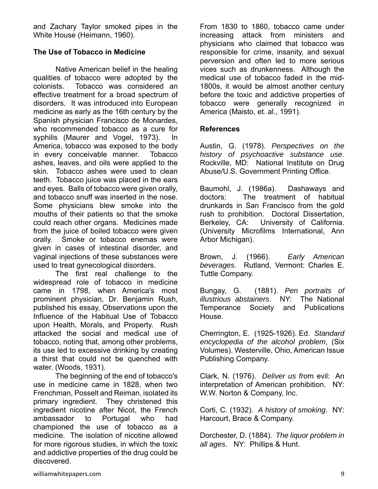and Zachary Taylor smoked pipes in the White House (Heimann, 1960).

#### **The Use of Tobacco in Medicine**

Native American belief in the healing qualities of tobacco were adopted by the colonists. Tobacco was considered an effective treatment for a broad spectrum of disorders. It was introduced into European medicine as early as the 16th century by the Spanish physician Francisco de Monardes, who recommended tobacco as a cure for syphilis (Maurer and Vogel, 1973). In America, tobacco was exposed to the body in every conceivable manner. Tobacco ashes, leaves, and oils were applied to the skin. Tobacco ashes were used to clean teeth. Tobacco juice was placed in the ears and eyes. Balls of tobacco were given orally, and tobacco snuff was inserted in the nose. Some physicians blew smoke into the mouths of their patients so that the smoke could reach other organs. Medicines made from the juice of boiled tobacco were given orally. Smoke or tobacco enemas were given in cases of intestinal disorder, and vaginal injections of these substances were used to treat gynecological disorders.

The first real challenge to the widespread role of tobacco in medicine came in 1798, when America's most prominent physician, Dr. Benjamin Rush, published his essay, Observations upon the Influence of the Habitual Use of Tobacco upon Health, Morals, and Property. Rush attacked the social and medical use of tobacco, noting that, among other problems, its use led to excessive drinking by creating a thirst that could not be quenched with water. (Woods, 1931).

The beginning of the end of tobacco's use in medicine came in 1828, when two Frenchman, Posselt and Reiman, isolated its primary ingredient. They christened this ingredient nicotine after Nicot, the French ambassador to Portugal who had championed the use of tobacco as a medicine. The isolation of nicotine allowed for more rigorous studies, in which the toxic and addictive properties of the drug could be discovered.

From 1830 to 1860, tobacco came under increasing attack from ministers and physicians who claimed that tobacco was responsible for crime, insanity, and sexual perversion and often led to more serious vices such as drunkenness. Although the medical use of tobacco faded in the mid-1800s, it would be almost another century before the toxic and addictive properties of tobacco were generally recognized in America (Maisto, et. al., 1991).

#### **References**

Austin, G. (1978). *Perspectives on the history of psychoactive substance use*. Rockville, MD: National Institute on Drug Abuse/U.S. Government Printing Office.

Baumohl, J. (1986a). Dashaways and doctors: The treatment of habitual drunkards in San Francisco from the gold rush to prohibition. Doctoral Dissertation, Berkeley, CA: University of California. (University Microfilms International, Ann Arbor Michigan).

Brown, J. (1966). *Early American beverages*. Rutland, Vermont: Charles E. Tuttle Company.

Bungay, G. (1881). *Pen portraits of illustrious abstainers*. NY: The National Temperance Society and Publications House.

Cherrington, E. (1925-1926). Ed. *Standard encyclopedia of the alcohol problem*, (Six Volumes). Westerville, Ohio, American Issue Publishing Company.

Clark, N. (1976). *Deliver us fro*m evil: An interpretation of American prohibition. NY: W.W. Norton & Company, Inc.

Corti, C. (1932). *A history of smoking*. NY: Harcourt, Brace & Company.

Dorchester, D. (1884). *The liquor problem in all ages*. NY: Phillips & Hunt.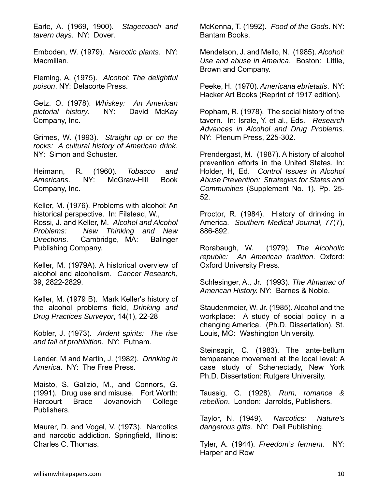Earle, A. (1969, 1900). *Stagecoach and tavern days*. NY: Dover.

Emboden, W. (1979). *Narcotic plants*. NY: Macmillan.

Fleming, A. (1975). *Alcohol: The delightful poison*. NY: Delacorte Press.

Getz. O. (1978). *Whiskey: An American pictorial history*. NY: David McKay Company, Inc.

Grimes, W. (1993). *Straight up or on the rocks: A cultural history of American drink*. NY: Simon and Schuster.

Heimann, R. (1960). *Tobacco and Americans*. NY: McGraw-Hill Book Company, Inc.

Keller, M. (1976). Problems with alcohol: An historical perspective. In: Filstead, W., Rossi, J. and Keller, M. *Alcohol and Alcohol Problems: New Thinking and New Directions*. Cambridge, MA: Balinger Publishing Company.

Keller, M. (1979A). A historical overview of alcohol and alcoholism. *Cancer Research*, 39, 2822-2829.

Keller, M. (1979 B). Mark Keller's history of the alcohol problems field, *Drinking and Drug Practices Surveyor*, 14(1), 22-28

Kobler, J. (1973). *Ardent spirits: The rise and fall of prohibition*. NY: Putnam.

Lender, M and Martin, J. (1982). *Drinking in America*. NY: The Free Press.

Maisto, S. Galizio, M., and Connors, G. (1991). Drug use and misuse. Fort Worth: Harcourt Brace Jovanovich College Publishers.

Maurer, D. and Vogel, V. (1973). Narcotics and narcotic addiction. Springfield, Illinois: Charles C. Thomas.

McKenna, T. (1992). *Food of the Gods*. NY: Bantam Books.

Mendelson, J. and Mello, N. (1985). *Alcohol: Use and abuse in America*. Boston: Little, Brown and Company.

Peeke, H. (1970). *Americana ebrietatis*. NY: Hacker Art Books (Reprint of 1917 edition).

Popham, R. (1978). The social history of the tavern. In: Israle, Y. et al., Eds. *Research Advances in Alcohol and Drug Problems*. NY: Plenum Press, 225-302.

Prendergast, M. (1987). A history of alcohol prevention efforts in the United States. In: Holder, H, Ed. *Control Issues in Alcohol Abuse Prevention: Strategies for States and Communities* (Supplement No. 1). Pp. 25- 52.

Proctor, R. (1984). History of drinking in America. *Southern Medical Journal,* 77(7), 886-892.

Rorabaugh, W. (1979). *The Alcoholic republic: An American tradition*. Oxford: Oxford University Press.

Schlesinger, A., Jr. (1993). *The Almanac of American History.* NY: Barnes & Noble.

Staudenmeier, W. Jr. (1985). Alcohol and the workplace: A study of social policy in a changing America. (Ph.D. Dissertation). St. Louis, MO: Washington University.

Steinsapir, C. (1983). The ante-bellum temperance movement at the local level: A case study of Schenectady, New York Ph.D. Dissertation: Rutgers University.

Taussig, C. (1928). *Rum, romance & rebellion*. London: Jarrolds, Publishers.

Taylor, N. (1949). *Narcotics: Nature's dangerous gifts*. NY: Dell Publishing.

Tyler, A. (1944). *Freedom's ferment*. NY: Harper and Row